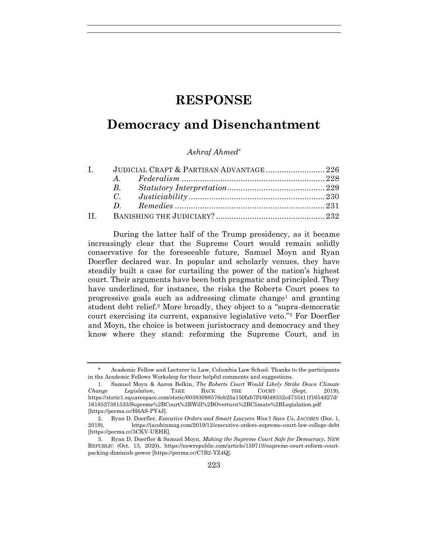# **RESPONSE**

# **Democracy and Disenchantment**

#### *Ashraf Ahmed\**

| $\mathbf{I}$ | JUDICIAL CRAFT & PARTISAN ADVANTAGE 226 |  |  |
|--------------|-----------------------------------------|--|--|
|              |                                         |  |  |
|              |                                         |  |  |
|              |                                         |  |  |
|              |                                         |  |  |
|              |                                         |  |  |

During the latter half of the Trump presidency, as it became increasingly clear that the Supreme Court would remain solidly conservative for the foreseeable future, Samuel Moyn and Ryan Doerfler declared war. In popular and scholarly venues, they have steadily built a case for curtailing the power of the nation's highest court. Their arguments have been both pragmatic and principled. They have underlined, for instance, the risks the Roberts Court poses to progressive goals such as addressing climate change<sup>1</sup> and granting student debt relief.<sup>2</sup> More broadly, they object to a "supra-democratic court exercising its current, expansive legislative veto."<sup>3</sup> For Doerfler and Moyn, the choice is between juristocracy and democracy and they know where they stand: reforming the Supreme Court, and in

Academic Fellow and Lecturer in Law, Columbia Law School. Thanks to the participants in the Academic Fellows Workshop for their helpful comments and suggestions.

<sup>1.</sup> Samuel Moyn & Aaron Belkin, *The Roberts Court Would Likely Strike Down Climate Change Legislation*, TAKE BACK THE COURT (Sept. 2019), https://static1.squarespace.com/static/60383088576eb25a150fab7f/t/6049332cd733411f1654d27d/ 1618527381533/Supreme%2BCourt%2BWill%2BOverturn%2BClimate%2BLegislation.pdf [https://perma.cc/H6AS-PY4J].

<sup>2.</sup> Ryan D. Doerfler, *Executive Orders and Smart Lawyers Won't Save Us*, JACOBIN (Dec. 1, 2019), https://jacobinmag.com/2019/12/executive-orders-supreme-court-law-college-debt [https://perma.cc/3CKV-UEHE].

<sup>3.</sup> Ryan D. Doerfler & Samuel Moyn, *Making the Supreme Court Safe for Democracy*, NEW REPUBLIC (Oct. 13, 2020), https://newrepublic.com/article/159710/supreme-court-reform-courtpacking-diminish-power [https://perma.cc/C7B2-YZ4Q].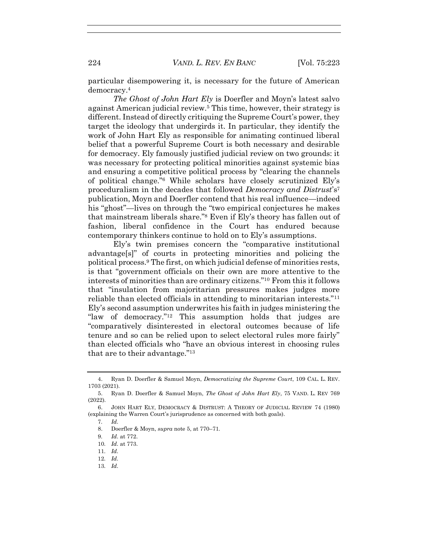particular disempowering it, is necessary for the future of American democracy.<sup>4</sup>

*The Ghost of John Hart Ely* is Doerfler and Moyn's latest salvo against American judicial review.<sup>5</sup> This time, however, their strategy is different. Instead of directly critiquing the Supreme Court's power, they target the ideology that undergirds it. In particular, they identify the work of John Hart Ely as responsible for animating continued liberal belief that a powerful Supreme Court is both necessary and desirable for democracy. Ely famously justified judicial review on two grounds: it was necessary for protecting political minorities against systemic bias and ensuring a competitive political process by "clearing the channels of political change."<sup>6</sup> While scholars have closely scrutinized Ely's proceduralism in the decades that followed *Democracy and Distrust*'s<sup>7</sup> publication, Moyn and Doerfler contend that his real influence—indeed his "ghost"—lives on through the "two empirical conjectures he makes that mainstream liberals share."<sup>8</sup> Even if Ely's theory has fallen out of fashion, liberal confidence in the Court has endured because contemporary thinkers continue to hold on to Ely's assumptions.

Ely's twin premises concern the "comparative institutional advantage[s]" of courts in protecting minorities and policing the political process.<sup>9</sup> The first, on which judicial defense of minorities rests, is that "government officials on their own are more attentive to the interests of minorities than are ordinary citizens."<sup>10</sup> From this it follows that "insulation from majoritarian pressures makes judges more reliable than elected officials in attending to minoritarian interests."<sup>11</sup> Ely's second assumption underwrites his faith in judges ministering the "law of democracy."<sup>12</sup> This assumption holds that judges are "comparatively disinterested in electoral outcomes because of life tenure and so can be relied upon to select electoral rules more fairly" than elected officials who "have an obvious interest in choosing rules that are to their advantage."<sup>13</sup>

- 11*. Id.*
- 12*. Id.*
- 13*. Id.*

<sup>4.</sup> Ryan D. Doerfler & Samuel Moyn, *Democratizing the Supreme Court*, 109 CAL. L. REV. 1703 (2021).

<sup>5.</sup> Ryan D. Doerfler & Samuel Moyn, *The Ghost of John Hart Ely*, 75 VAND. L. REV 769 (2022).

<sup>6.</sup> JOHN HART ELY, DEMOCRACY & DISTRUST: A THEORY OF JUDICIAL REVIEW 74 (1980) (explaining the Warren Court's jurisprudence as concerned with both goals).

<sup>7</sup>*. Id.*

<sup>8.</sup> Doerfler & Moyn, *supra* note 5, at 770–71.

<sup>9</sup>*. Id.* at 772.

<sup>10</sup>*. Id.* at 773.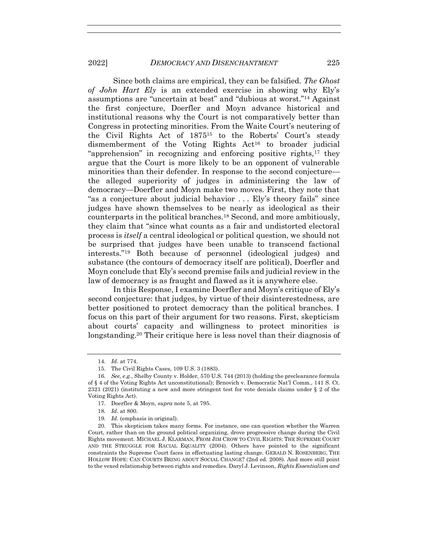Since both claims are empirical, they can be falsified. *The Ghost of John Hart Ely* is an extended exercise in showing why Ely's assumptions are "uncertain at best" and "dubious at worst."<sup>14</sup> Against the first conjecture, Doerfler and Moyn advance historical and institutional reasons why the Court is not comparatively better than Congress in protecting minorities. From the Waite Court's neutering of the Civil Rights Act of 1875<sup>15</sup> to the Roberts' Court's steady dismemberment of the Voting Rights Act<sup>16</sup> to broader judicial "apprehension" in recognizing and enforcing positive rights, $17$  they argue that the Court is more likely to be an opponent of vulnerable minorities than their defender. In response to the second conjecture the alleged superiority of judges in administering the law of democracy—Doerfler and Moyn make two moves. First, they note that "as a conjecture about judicial behavior . . . Ely's theory fails" since judges have shown themselves to be nearly as ideological as their counterparts in the political branches.<sup>18</sup> Second, and more ambitiously, they claim that "since what counts as a fair and undistorted electoral process is *itself* a central ideological or political question, we should not be surprised that judges have been unable to transcend factional interests."<sup>19</sup> Both because of personnel (ideological judges) and substance (the contours of democracy itself are political), Doerfler and Moyn conclude that Ely's second premise fails and judicial review in the law of democracy is as fraught and flawed as it is anywhere else.

In this Response, I examine Doerfler and Moyn's critique of Ely's second conjecture: that judges, by virtue of their disinterestedness, are better positioned to protect democracy than the political branches. I focus on this part of their argument for two reasons. First, skepticism about courts' capacity and willingness to protect minorities is longstanding.<sup>20</sup> Their critique here is less novel than their diagnosis of

<sup>14</sup>*. Id.* at 774.

<sup>15.</sup> The Civil Rights Cases, 109 U.S. 3 (1883).

<sup>16</sup>*. See, e.g.*, Shelby County v. Holder, 570 U.S. 744 (2013) (holding the preclearance formula of § 4 of the Voting Rights Act unconstitutional); Brnovich v. Democratic Nat'l Comm., 141 S. Ct. 2321 (2021) (instituting a new and more stringent test for vote denials claims under § 2 of the Voting Rights Act).

<sup>17.</sup> Doerfler & Moyn, *supra* note 5, at 795.

<sup>18</sup>*. Id.* at 800.

<sup>19</sup>*. Id.* (emphasis in original).

<sup>20.</sup> This skepticism takes many forms. For instance, one can question whether the Warren Court, rather than on the ground political organizing, drove progressive change during the Civil Rights movement. MICHAEL J. KLARMAN, FROM JIM CROW TO CIVIL RIGHTS: THE SUPREME COURT AND THE STRUGGLE FOR RACIAL EQUALITY (2004). Others have pointed to the significant constraints the Supreme Court faces in effectuating lasting change. GERALD N. ROSENBERG, THE HOLLOW HOPE: CAN COURTS BRING ABOUT SOCIAL CHANGE? (2nd ed. 2008). And more still point to the vexed relationship between rights and remedies. Daryl J. Levinson, *Rights Essentialism and*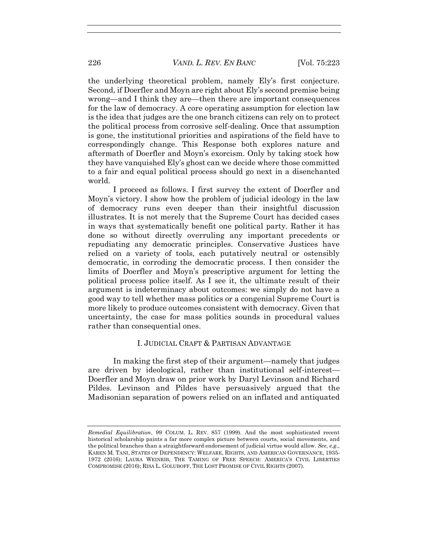the underlying theoretical problem, namely Ely's first conjecture. Second, if Doerfler and Moyn are right about Ely's second premise being wrong—and I think they are—then there are important consequences for the law of democracy. A core operating assumption for election law is the idea that judges are the one branch citizens can rely on to protect the political process from corrosive self-dealing. Once that assumption is gone, the institutional priorities and aspirations of the field have to correspondingly change. This Response both explores nature and aftermath of Doerfler and Moyn's exorcism. Only by taking stock how they have vanquished Ely's ghost can we decide where those committed to a fair and equal political process should go next in a disenchanted world.

I proceed as follows. I first survey the extent of Doerfler and Moyn's victory. I show how the problem of judicial ideology in the law of democracy runs even deeper than their insightful discussion illustrates. It is not merely that the Supreme Court has decided cases in ways that systematically benefit one political party. Rather it has done so without directly overruling any important precedents or repudiating any democratic principles. Conservative Justices have relied on a variety of tools, each putatively neutral or ostensibly democratic, in corroding the democratic process. I then consider the limits of Doerfler and Moyn's prescriptive argument for letting the political process police itself. As I see it, the ultimate result of their argument is indeterminacy about outcomes: we simply do not have a good way to tell whether mass politics or a congenial Supreme Court is more likely to produce outcomes consistent with democracy. Given that uncertainty, the case for mass politics sounds in procedural values rather than consequential ones.

### I. JUDICIAL CRAFT & PARTISAN ADVANTAGE

In making the first step of their argument—namely that judges are driven by ideological, rather than institutional self-interest— Doerfler and Moyn draw on prior work by Daryl Levinson and Richard Pildes. Levinson and Pildes have persuasively argued that the Madisonian separation of powers relied on an inflated and antiquated

*Remedial Equilibration*, 99 COLUM. L. REV. 857 (1999). And the most sophisticated recent historical scholarship paints a far more complex picture between courts, social movements, and the political branches than a straightforward endorsement of judicial virtue would allow. *See, e.g.*, KAREN M. TANI, STATES OF DEPENDENCY: WELFARE, RIGHTS, AND AMERICAN GOVERNANCE, 1935- 1972 (2016); LAURA WEINRIB, THE TAMING OF FREE SPEECH: AMERICA'S CIVIL LIBERTIES COMPROMISE (2016); RISA L. GOLUBOFF, THE LOST PROMISE OF CIVIL RIGHTS (2007).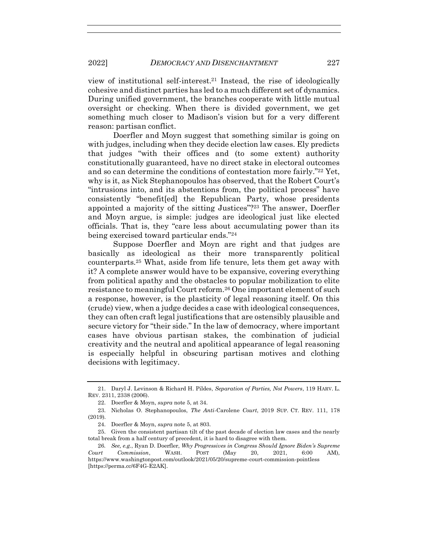view of institutional self-interest.<sup>21</sup> Instead, the rise of ideologically cohesive and distinct parties has led to a much different set of dynamics. During unified government, the branches cooperate with little mutual oversight or checking. When there is divided government, we get something much closer to Madison's vision but for a very different reason: partisan conflict.

Doerfler and Moyn suggest that something similar is going on with judges, including when they decide election law cases. Ely predicts that judges "with their offices and (to some extent) authority constitutionally guaranteed, have no direct stake in electoral outcomes and so can determine the conditions of contestation more fairly."<sup>22</sup> Yet, why is it, as Nick Stephanopoulos has observed, that the Robert Court's "intrusions into, and its abstentions from, the political process" have consistently "benefit[ed] the Republican Party, whose presidents appointed a majority of the sitting Justices"?<sup>23</sup> The answer, Doerfler and Moyn argue, is simple: judges are ideological just like elected officials. That is, they "care less about accumulating power than its being exercised toward particular ends."<sup>24</sup>

Suppose Doerfler and Moyn are right and that judges are basically as ideological as their more transparently political counterparts.<sup>25</sup> What, aside from life tenure, lets them get away with it? A complete answer would have to be expansive, covering everything from political apathy and the obstacles to popular mobilization to elite resistance to meaningful Court reform.<sup>26</sup> One important element of such a response, however, is the plasticity of legal reasoning itself. On this (crude) view, when a judge decides a case with ideological consequences, they can often craft legal justifications that are ostensibly plausible and secure victory for "their side." In the law of democracy, where important cases have obvious partisan stakes, the combination of judicial creativity and the neutral and apolitical appearance of legal reasoning is especially helpful in obscuring partisan motives and clothing decisions with legitimacy.

<sup>21.</sup> Daryl J. Levinson & Richard H. Pildes, *Separation of Parties, Not Powers*, 119 HARV. L. REV. 2311, 2338 (2006).

<sup>22.</sup> Doerfler & Moyn, *supra* note 5, at 34.

<sup>23.</sup> Nicholas O. Stephanopoulos, *The Anti-*Carolene *Court*, 2019 SUP. CT. REV. 111, 178 (2019).

<sup>24.</sup> Doerfler & Moyn, *supra* note 5, at 803.

<sup>25.</sup> Given the consistent partisan tilt of the past decade of election law cases and the nearly total break from a half century of precedent, it is hard to disagree with them.

<sup>26</sup>*. See, e.g.*, Ryan D. Doerfler, *Why Progressives in Congress Should Ignore Biden's Supreme Court Commission*, WASH. POST (May 20, 2021, 6:00 AM), https://www.washingtonpost.com/outlook/2021/05/20/supreme-court-commission-pointless [https://perma.cc/6F4G-E2AK].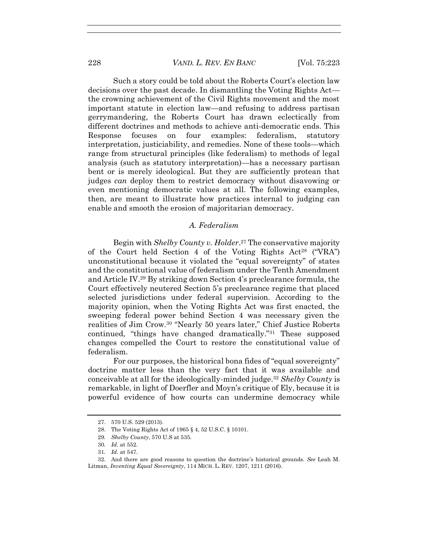Such a story could be told about the Roberts Court's election law decisions over the past decade. In dismantling the Voting Rights Act the crowning achievement of the Civil Rights movement and the most important statute in election law—and refusing to address partisan gerrymandering, the Roberts Court has drawn eclectically from different doctrines and methods to achieve anti-democratic ends. This Response focuses on four examples: federalism, statutory interpretation, justiciability, and remedies. None of these tools—which range from structural principles (like federalism) to methods of legal analysis (such as statutory interpretation)—has a necessary partisan bent or is merely ideological. But they are sufficiently protean that judges *can* deploy them to restrict democracy without disavowing or even mentioning democratic values at all. The following examples, then, are meant to illustrate how practices internal to judging can enable and smooth the erosion of majoritarian democracy.

#### *A. Federalism*

Begin with *Shelby County v. Holder*. <sup>27</sup> The conservative majority of the Court held Section 4 of the Voting Rights  $Act^{28}$  ("VRA") unconstitutional because it violated the "equal sovereignty" of states and the constitutional value of federalism under the Tenth Amendment and Article IV.<sup>29</sup> By striking down Section 4's preclearance formula, the Court effectively neutered Section 5's preclearance regime that placed selected jurisdictions under federal supervision. According to the majority opinion, when the Voting Rights Act was first enacted, the sweeping federal power behind Section 4 was necessary given the realities of Jim Crow.<sup>30</sup> "Nearly 50 years later," Chief Justice Roberts continued, "things have changed dramatically."<sup>31</sup> These supposed changes compelled the Court to restore the constitutional value of federalism.

For our purposes, the historical bona fides of "equal sovereignty" doctrine matter less than the very fact that it was available and conceivable at all for the ideologically-minded judge.<sup>32</sup> *Shelby County* is remarkable, in light of Doerfler and Moyn's critique of Ely, because it is powerful evidence of how courts can undermine democracy while

<sup>27.</sup> 570 U.S. 529 (2013).

<sup>28.</sup> The Voting Rights Act of 1965 § 4, 52 U.S.C. § 10101.

<sup>29</sup>*. Shelby County*, 570 U.S at 535.

<sup>30</sup>*. Id.* at 552.

<sup>31</sup>*. Id.* at 547.

<sup>32.</sup> And there are good reasons to question the doctrine's historical grounds. *See* Leah M. Litman, *Inventing Equal Sovereignty*, 114 MICH. L. REV. 1207, 1211 (2016).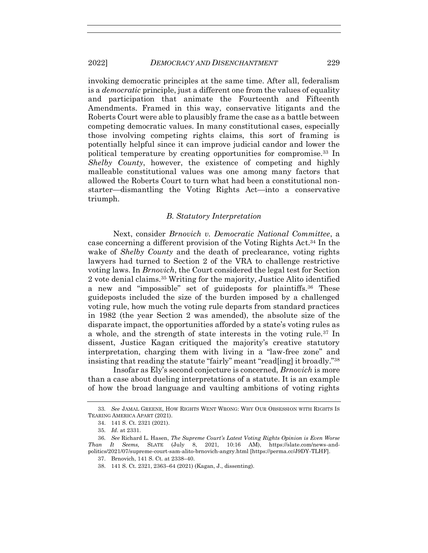invoking democratic principles at the same time. After all, federalism is a *democratic* principle, just a different one from the values of equality and participation that animate the Fourteenth and Fifteenth Amendments. Framed in this way, conservative litigants and the Roberts Court were able to plausibly frame the case as a battle between competing democratic values. In many constitutional cases, especially those involving competing rights claims, this sort of framing is potentially helpful since it can improve judicial candor and lower the political temperature by creating opportunities for compromise.<sup>33</sup> In *Shelby County*, however, the existence of competing and highly malleable constitutional values was one among many factors that allowed the Roberts Court to turn what had been a constitutional nonstarter—dismantling the Voting Rights Act—into a conservative triumph.

#### *B. Statutory Interpretation*

Next, consider *Brnovich v. Democratic National Committee*, a case concerning a different provision of the Voting Rights Act.<sup>34</sup> In the wake of *Shelby County* and the death of preclearance, voting rights lawyers had turned to Section 2 of the VRA to challenge restrictive voting laws. In *Brnovich*, the Court considered the legal test for Section 2 vote denial claims.<sup>35</sup> Writing for the majority, Justice Alito identified a new and "impossible" set of guideposts for plaintiffs.<sup>36</sup> These guideposts included the size of the burden imposed by a challenged voting rule, how much the voting rule departs from standard practices in 1982 (the year Section 2 was amended), the absolute size of the disparate impact, the opportunities afforded by a state's voting rules as a whole, and the strength of state interests in the voting rule.<sup>37</sup> In dissent, Justice Kagan critiqued the majority's creative statutory interpretation, charging them with living in a "law-free zone" and insisting that reading the statute "fairly" meant "read[ing] it broadly."<sup>38</sup>

Insofar as Ely's second conjecture is concerned, *Brnovich* is more than a case about dueling interpretations of a statute. It is an example of how the broad language and vaulting ambitions of voting rights

<sup>33</sup>*. See* JAMAL GREENE, HOW RIGHTS WENT WRONG: WHY OUR OBSESSION WITH RIGHTS IS TEARING AMERICA APART (2021).

<sup>34.</sup> 141 S. Ct. 2321 (2021).

<sup>35</sup>*. Id.* at 2331.

<sup>36</sup>*. See* Richard L. Hasen, *The Supreme Court's Latest Voting Rights Opinion is Even Worse Than It Seems,* SLATE (July 8, 2021, 10:16 AM), https://slate.com/news-andpolitics/2021/07/supreme-court-sam-alito-brnovich-angry.html [https://perma.cc/J9DY-TLHF].

<sup>37.</sup> Brnovich, 141 S. Ct. at 2338–40.

<sup>38.</sup> 141 S. Ct. 2321, 2363–64 (2021) (Kagan, J., dissenting).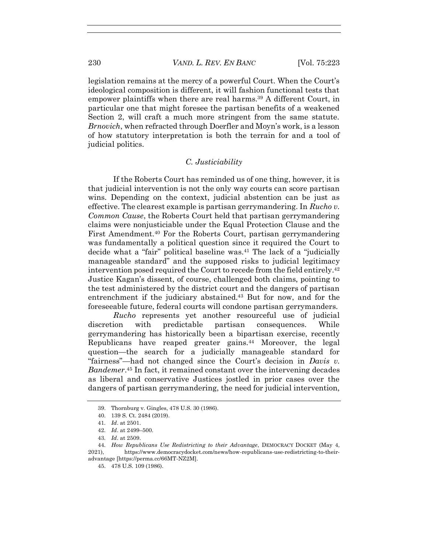legislation remains at the mercy of a powerful Court. When the Court's ideological composition is different, it will fashion functional tests that empower plaintiffs when there are real harms.<sup>39</sup> A different Court, in particular one that might foresee the partisan benefits of a weakened Section 2, will craft a much more stringent from the same statute. *Brnovich*, when refracted through Doerfler and Moyn's work, is a lesson of how statutory interpretation is both the terrain for and a tool of judicial politics.

#### *C. Justiciability*

If the Roberts Court has reminded us of one thing, however, it is that judicial intervention is not the only way courts can score partisan wins. Depending on the context, judicial abstention can be just as effective. The clearest example is partisan gerrymandering. In *Rucho v. Common Cause*, the Roberts Court held that partisan gerrymandering claims were nonjusticiable under the Equal Protection Clause and the First Amendment.<sup>40</sup> For the Roberts Court, partisan gerrymandering was fundamentally a political question since it required the Court to decide what a "fair" political baseline was.<sup>41</sup> The lack of a "judicially manageable standard" and the supposed risks to judicial legitimacy intervention posed required the Court to recede from the field entirely.<sup>42</sup> Justice Kagan's dissent, of course, challenged both claims, pointing to the test administered by the district court and the dangers of partisan entrenchment if the judiciary abstained.<sup>43</sup> But for now, and for the foreseeable future, federal courts will condone partisan gerrymanders.

*Rucho* represents yet another resourceful use of judicial discretion with predictable partisan consequences. While gerrymandering has historically been a bipartisan exercise, recently Republicans have reaped greater gains.<sup>44</sup> Moreover, the legal question—the search for a judicially manageable standard for "fairness"—had not changed since the Court's decision in *Davis v. Bandemer*. <sup>45</sup> In fact, it remained constant over the intervening decades as liberal and conservative Justices jostled in prior cases over the dangers of partisan gerrymandering, the need for judicial intervention,

<sup>39.</sup> Thornburg v. Gingles, 478 U.S. 30 (1986).

<sup>40.</sup> 139 S. Ct. 2484 (2019).

<sup>41</sup>*. Id*. at 2501.

<sup>42</sup>*. Id*. at 2499–500.

<sup>43</sup>*. Id*. at 2509.

<sup>44</sup>*. How Republicans Use Redistricting to their Advantage*, DEMOCRACY DOCKET (May 4, 2021), https://www.democracydocket.com/news/how-republicans-use-redistricting-to-theiradvantage [https://perma.cc/66MT-NZ2M].

<sup>45.</sup> 478 U.S. 109 (1986).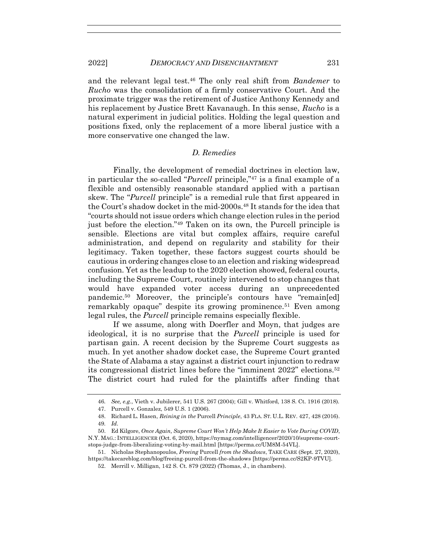and the relevant legal test.<sup>46</sup> The only real shift from *Bandemer* to *Rucho* was the consolidation of a firmly conservative Court. And the proximate trigger was the retirement of Justice Anthony Kennedy and his replacement by Justice Brett Kavanaugh. In this sense, *Rucho* is a natural experiment in judicial politics. Holding the legal question and positions fixed, only the replacement of a more liberal justice with a more conservative one changed the law.

### *D. Remedies*

Finally, the development of remedial doctrines in election law, in particular the so-called "*Purcell* principle,"<sup>47</sup> is a final example of a flexible and ostensibly reasonable standard applied with a partisan skew. The "*Purcell* principle" is a remedial rule that first appeared in the Court's shadow docket in the mid-2000s.<sup>48</sup> It stands for the idea that "courts should not issue orders which change election rules in the period just before the election."<sup>49</sup> Taken on its own, the Purcell principle is sensible. Elections are vital but complex affairs, require careful administration, and depend on regularity and stability for their legitimacy. Taken together, these factors suggest courts should be cautious in ordering changes close to an election and risking widespread confusion. Yet as the leadup to the 2020 election showed, federal courts, including the Supreme Court, routinely intervened to stop changes that would have expanded voter access during an unprecedented pandemic.<sup>50</sup> Moreover, the principle's contours have "remain[ed] remarkably opaque" despite its growing prominence.<sup>51</sup> Even among legal rules, the *Purcell* principle remains especially flexible.

If we assume, along with Doerfler and Moyn, that judges are ideological, it is no surprise that the *Purcell* principle is used for partisan gain. A recent decision by the Supreme Court suggests as much. In yet another shadow docket case, the Supreme Court granted the State of Alabama a stay against a district court injunction to redraw its congressional district lines before the "imminent 2022" elections.<sup>52</sup> The district court had ruled for the plaintiffs after finding that

<sup>46</sup>*. See, e.g.*, Vieth v. Jubilerer, 541 U.S. 267 (2004); Gill v. Whitford, 138 S. Ct. 1916 (2018).

<sup>47.</sup> Purcell v. Gonzalez, 549 U.S. 1 (2006).

<sup>48.</sup> Richard L. Hasen, *Reining in the* Purcell *Principle*, 43 FLA. ST. U.L. REV. 427, 428 (2016). 49*. Id.*

<sup>50.</sup> Ed Kilgore, *Once Again, Supreme Court Won't Help Make It Easier to Vote During COVID*, N.Y. MAG.: INTELLIGENCER (Oct. 6, 2020), https://nymag.com/intelligencer/2020/10/supreme-courtstops-judge-from-liberalizing-voting-by-mail.html [https://perma.cc/UM8M-54VL].

<sup>51.</sup> Nicholas Stephanopoulos, *Freeing* Purcell *from the Shadows*, TAKE CARE (Sept. 27, 2020), https://takecareblog.com/blog/freeing-purcell-from-the-shadows [https://perma.cc/S2KP-9TVU].

<sup>52.</sup> Merrill v. Milligan, 142 S. Ct. 879 (2022) (Thomas, J., in chambers).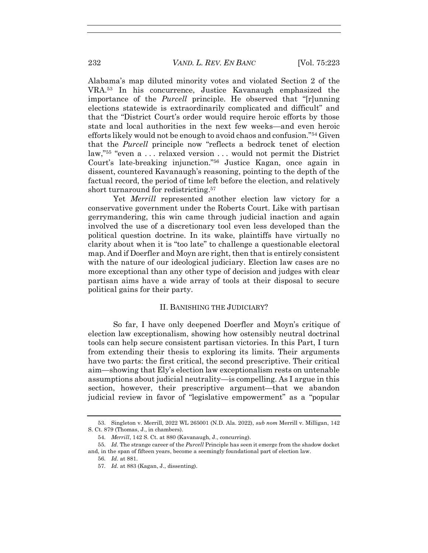Alabama's map diluted minority votes and violated Section 2 of the VRA.<sup>53</sup> In his concurrence, Justice Kavanaugh emphasized the importance of the *Purcell* principle. He observed that "[r]unning elections statewide is extraordinarily complicated and difficult" and that the "District Court's order would require heroic efforts by those state and local authorities in the next few weeks—and even heroic efforts likely would not be enough to avoid chaos and confusion."<sup>54</sup> Given that the *Purcell* principle now "reflects a bedrock tenet of election law,"<sup>55</sup> "even a . . . relaxed version . . . would not permit the District Court's late-breaking injunction."<sup>56</sup> Justice Kagan, once again in dissent, countered Kavanaugh's reasoning, pointing to the depth of the factual record, the period of time left before the election, and relatively short turnaround for redistricting.<sup>57</sup>

Yet *Merrill* represented another election law victory for a conservative government under the Roberts Court. Like with partisan gerrymandering, this win came through judicial inaction and again involved the use of a discretionary tool even less developed than the political question doctrine. In its wake, plaintiffs have virtually no clarity about when it is "too late" to challenge a questionable electoral map. And if Doerfler and Moyn are right, then that is entirely consistent with the nature of our ideological judiciary. Election law cases are no more exceptional than any other type of decision and judges with clear partisan aims have a wide array of tools at their disposal to secure political gains for their party.

#### II. BANISHING THE JUDICIARY?

So far, I have only deepened Doerfler and Moyn's critique of election law exceptionalism, showing how ostensibly neutral doctrinal tools can help secure consistent partisan victories. In this Part, I turn from extending their thesis to exploring its limits. Their arguments have two parts: the first critical, the second prescriptive. Their critical aim—showing that Ely's election law exceptionalism rests on untenable assumptions about judicial neutrality—is compelling. As I argue in this section, however, their prescriptive argument—that we abandon judicial review in favor of "legislative empowerment" as a "popular

<sup>53.</sup> Singleton v. Merrill, 2022 WL 265001 (N.D. Ala. 2022), *sub nom* Merrill v. Milligan, 142 S. Ct. 879 (Thomas, J., in chambers).

<sup>54</sup>*. Merrill*, 142 S. Ct. at 880 (Kavanaugh, J., concurring).

<sup>55</sup>*. Id.* The strange career of the *Purcell* Principle has seen it emerge from the shadow docket and, in the span of fifteen years, become a seemingly foundational part of election law.

<sup>56</sup>*. Id.* at 881.

<sup>57</sup>*. Id.* at 883 (Kagan, J., dissenting).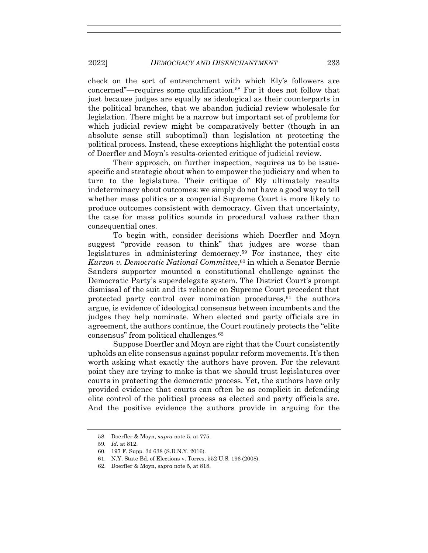check on the sort of entrenchment with which Ely's followers are concerned"—requires some qualification.<sup>58</sup> For it does not follow that just because judges are equally as ideological as their counterparts in the political branches, that we abandon judicial review wholesale for legislation. There might be a narrow but important set of problems for which judicial review might be comparatively better (though in an absolute sense still suboptimal) than legislation at protecting the political process. Instead, these exceptions highlight the potential costs of Doerfler and Moyn's results-oriented critique of judicial review.

Their approach, on further inspection, requires us to be issuespecific and strategic about when to empower the judiciary and when to turn to the legislature. Their critique of Ely ultimately results indeterminacy about outcomes: we simply do not have a good way to tell whether mass politics or a congenial Supreme Court is more likely to produce outcomes consistent with democracy. Given that uncertainty, the case for mass politics sounds in procedural values rather than consequential ones.

To begin with, consider decisions which Doerfler and Moyn suggest "provide reason to think" that judges are worse than legislatures in administering democracy.<sup>59</sup> For instance, they cite *Kurzon v. Democratic National Committee*, <sup>60</sup> in which a Senator Bernie Sanders supporter mounted a constitutional challenge against the Democratic Party's superdelegate system. The District Court's prompt dismissal of the suit and its reliance on Supreme Court precedent that protected party control over nomination procedures, <sup>61</sup> the authors argue, is evidence of ideological consensus between incumbents and the judges they help nominate. When elected and party officials are in agreement, the authors continue, the Court routinely protects the "elite consensus" from political challenges.<sup>62</sup>

Suppose Doerfler and Moyn are right that the Court consistently upholds an elite consensus against popular reform movements. It's then worth asking what exactly the authors have proven. For the relevant point they are trying to make is that we should trust legislatures over courts in protecting the democratic process. Yet, the authors have only provided evidence that courts can often be as complicit in defending elite control of the political process as elected and party officials are. And the positive evidence the authors provide in arguing for the

<sup>58.</sup> Doerfler & Moyn, *supra* note 5, at 775.

<sup>59</sup>*. Id.* at 812.

<sup>60.</sup> 197 F. Supp. 3d 638 (S.D.N.Y. 2016).

<sup>61.</sup> N.Y. State Bd. of Elections v. Torres, 552 U.S. 196 (2008).

<sup>62.</sup> Doerfler & Moyn, *supra* note 5, at 818.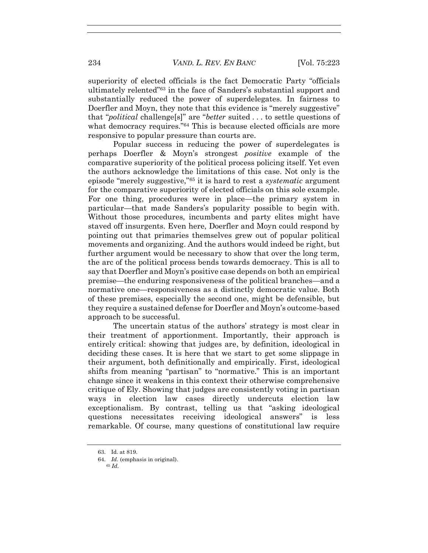superiority of elected officials is the fact Democratic Party "officials ultimately relented"<sup>63</sup> in the face of Sanders's substantial support and substantially reduced the power of superdelegates. In fairness to Doerfler and Moyn, they note that this evidence is "merely suggestive" that "*political* challenge[s]" are "*better* suited . . . to settle questions of what democracy requires."<sup>64</sup> This is because elected officials are more responsive to popular pressure than courts are.

Popular success in reducing the power of superdelegates is perhaps Doerfler & Moyn's strongest *positive* example of the comparative superiority of the political process policing itself. Yet even the authors acknowledge the limitations of this case. Not only is the episode "merely suggestive,"<sup>65</sup> it is hard to rest a *systematic* argument for the comparative superiority of elected officials on this sole example. For one thing, procedures were in place—the primary system in particular—that made Sanders's popularity possible to begin with. Without those procedures, incumbents and party elites might have staved off insurgents. Even here, Doerfler and Moyn could respond by pointing out that primaries themselves grew out of popular political movements and organizing. And the authors would indeed be right, but further argument would be necessary to show that over the long term, the arc of the political process bends towards democracy. This is all to say that Doerfler and Moyn's positive case depends on both an empirical premise—the enduring responsiveness of the political branches—and a normative one—responsiveness as a distinctly democratic value. Both of these premises, especially the second one, might be defensible, but they require a sustained defense for Doerfler and Moyn's outcome-based approach to be successful.

The uncertain status of the authors' strategy is most clear in their treatment of apportionment. Importantly, their approach is entirely critical: showing that judges are, by definition, ideological in deciding these cases. It is here that we start to get some slippage in their argument, both definitionally and empirically. First, ideological shifts from meaning "partisan" to "normative." This is an important change since it weakens in this context their otherwise comprehensive critique of Ely. Showing that judges are consistently voting in partisan ways in election law cases directly undercuts election law exceptionalism. By contrast, telling us that "asking ideological questions necessitates receiving ideological answers" is less remarkable. Of course, many questions of constitutional law require

<sup>63.</sup> Id. at 819.

<sup>64</sup>*. Id.* (emphasis in original).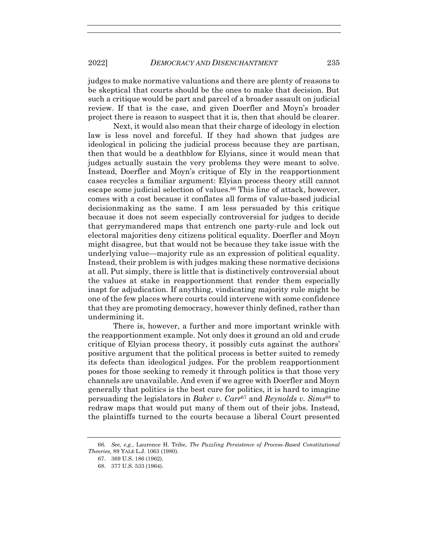judges to make normative valuations and there are plenty of reasons to be skeptical that courts should be the ones to make that decision. But such a critique would be part and parcel of a broader assault on judicial review. If that is the case, and given Doerfler and Moyn's broader project there is reason to suspect that it is, then that should be clearer.

Next, it would also mean that their charge of ideology in election law is less novel and forceful. If they had shown that judges are ideological in policing the judicial process because they are partisan, then that would be a deathblow for Elyians, since it would mean that judges actually sustain the very problems they were meant to solve. Instead, Doerfler and Moyn's critique of Ely in the reapportionment cases recycles a familiar argument: Elyian process theory still cannot escape some judicial selection of values.<sup>66</sup> This line of attack, however, comes with a cost because it conflates all forms of value-based judicial decisionmaking as the same. I am less persuaded by this critique because it does not seem especially controversial for judges to decide that gerrymandered maps that entrench one party-rule and lock out electoral majorities deny citizens political equality. Doerfler and Moyn might disagree, but that would not be because they take issue with the underlying value—majority rule as an expression of political equality. Instead, their problem is with judges making these normative decisions at all. Put simply, there is little that is distinctively controversial about the values at stake in reapportionment that render them especially inapt for adjudication. If anything, vindicating majority rule might be one of the few places where courts could intervene with some confidence that they are promoting democracy, however thinly defined, rather than undermining it.

There is, however, a further and more important wrinkle with the reapportionment example. Not only does it ground an old and crude critique of Elyian process theory, it possibly cuts against the authors' positive argument that the political process is better suited to remedy its defects than ideological judges. For the problem reapportionment poses for those seeking to remedy it through politics is that those very channels are unavailable. And even if we agree with Doerfler and Moyn generally that politics is the best cure for politics, it is hard to imagine persuading the legislators in *Baker v. Carr*<sup>67</sup> and *Reynolds v. Sims*<sup>68</sup> to redraw maps that would put many of them out of their jobs. Instead, the plaintiffs turned to the courts because a liberal Court presented

<sup>66</sup>*. See, e.g.*, Laurence H. Tribe*, The Puzzling Persistence of Process-Based Constitutional Theories,* 89 YALE L.J. 1063 (1980).

<sup>67.</sup> 369 U.S. 186 (1962).

<sup>68.</sup> 377 U.S. 533 (1964).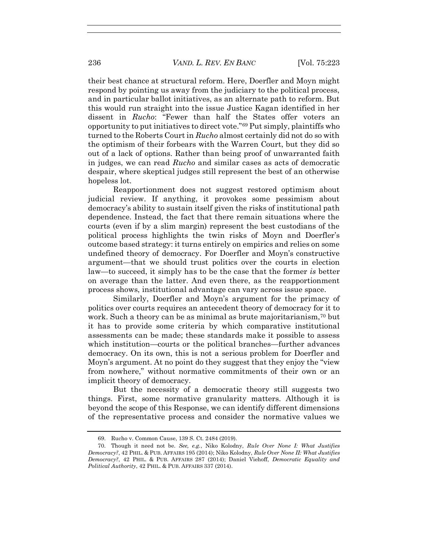their best chance at structural reform. Here, Doerfler and Moyn might respond by pointing us away from the judiciary to the political process, and in particular ballot initiatives, as an alternate path to reform. But this would run straight into the issue Justice Kagan identified in her dissent in *Rucho*: "Fewer than half the States offer voters an opportunity to put initiatives to direct vote."<sup>69</sup> Put simply, plaintiffs who turned to the Roberts Court in *Rucho* almost certainly did not do so with the optimism of their forbears with the Warren Court, but they did so out of a lack of options. Rather than being proof of unwarranted faith in judges, we can read *Rucho* and similar cases as acts of democratic despair, where skeptical judges still represent the best of an otherwise hopeless lot.

Reapportionment does not suggest restored optimism about judicial review. If anything, it provokes some pessimism about democracy's ability to sustain itself given the risks of institutional path dependence. Instead, the fact that there remain situations where the courts (even if by a slim margin) represent the best custodians of the political process highlights the twin risks of Moyn and Doerfler's outcome based strategy: it turns entirely on empirics and relies on some undefined theory of democracy. For Doerfler and Moyn's constructive argument—that we should trust politics over the courts in election law—to succeed, it simply has to be the case that the former *is* better on average than the latter. And even there, as the reapportionment process shows, institutional advantage can vary across issue space.

Similarly, Doerfler and Moyn's argument for the primacy of politics over courts requires an antecedent theory of democracy for it to work. Such a theory can be as minimal as brute majoritarianism,<sup>70</sup> but it has to provide some criteria by which comparative institutional assessments can be made; these standards make it possible to assess which institution—courts or the political branches—further advances democracy. On its own, this is not a serious problem for Doerfler and Moyn's argument. At no point do they suggest that they enjoy the "view from nowhere," without normative commitments of their own or an implicit theory of democracy.

But the necessity of a democratic theory still suggests two things. First, some normative granularity matters. Although it is beyond the scope of this Response, we can identify different dimensions of the representative process and consider the normative values we

<sup>69.</sup> Rucho v. Common Cause, 139 S. Ct. 2484 (2019).

<sup>70.</sup> Though it need not be. *See, e.g.*, Niko Kolodny, *Rule Over None I: What Justifies Democracy?*, 42 PHIL. & PUB. AFFAIRS 195 (2014); Niko Kolodny, *Rule Over None II: What Justifies Democracy?*, 42 PHIL. & PUB. AFFAIRS 287 (2014); Daniel Viehoff, *Democratic Equality and Political Authority*, 42 PHIL. & PUB. AFFAIRS 337 (2014).